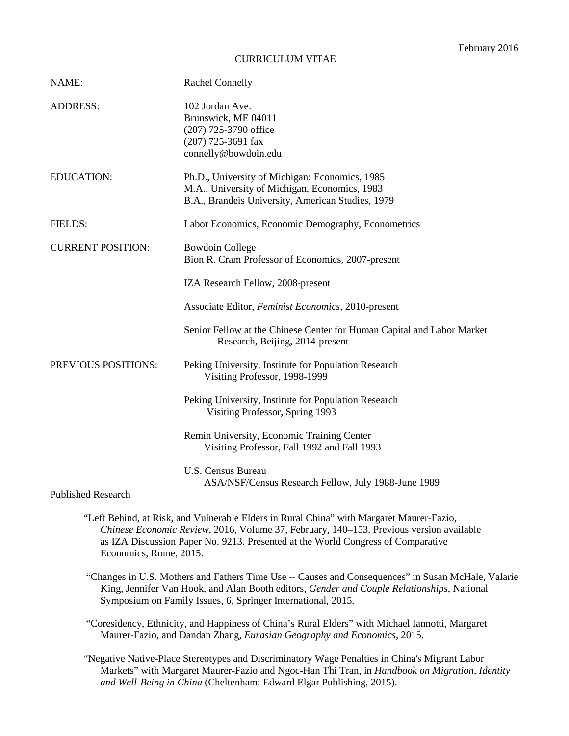# CURRICULUM VITAE

| NAME:                     | <b>Rachel Connelly</b>                                                                                                                               |
|---------------------------|------------------------------------------------------------------------------------------------------------------------------------------------------|
| <b>ADDRESS:</b>           | 102 Jordan Ave.<br>Brunswick, ME 04011<br>(207) 725-3790 office<br>(207) 725-3691 fax<br>connelly@bowdoin.edu                                        |
| <b>EDUCATION:</b>         | Ph.D., University of Michigan: Economics, 1985<br>M.A., University of Michigan, Economics, 1983<br>B.A., Brandeis University, American Studies, 1979 |
| <b>FIELDS:</b>            | Labor Economics, Economic Demography, Econometrics                                                                                                   |
| <b>CURRENT POSITION:</b>  | <b>Bowdoin College</b><br>Bion R. Cram Professor of Economics, 2007-present                                                                          |
|                           | IZA Research Fellow, 2008-present                                                                                                                    |
|                           | Associate Editor, Feminist Economics, 2010-present                                                                                                   |
|                           | Senior Fellow at the Chinese Center for Human Capital and Labor Market<br>Research, Beijing, 2014-present                                            |
| PREVIOUS POSITIONS:       | Peking University, Institute for Population Research<br>Visiting Professor, 1998-1999                                                                |
|                           | Peking University, Institute for Population Research<br>Visiting Professor, Spring 1993                                                              |
|                           | Remin University, Economic Training Center<br>Visiting Professor, Fall 1992 and Fall 1993                                                            |
|                           | <b>U.S. Census Bureau</b><br>ASA/NSF/Census Research Fellow, July 1988-June 1989                                                                     |
| <b>Published Research</b> |                                                                                                                                                      |

- "Left Behind, at Risk, and Vulnerable Elders in Rural China" with Margaret Maurer-Fazio, *Chinese Economic Review*, 2016, Volume 37, February, 140–153. Previous version available as IZA Discussion Paper No. 9213. Presented at the World Congress of Comparative Economics, Rome, 2015.
- "Changes in U.S. Mothers and Fathers Time Use -- Causes and Consequences" in Susan McHale, Valarie King, Jennifer Van Hook, and Alan Booth editors, *Gender and Couple Relationships*, National Symposium on Family Issues, 6, Springer International, 2015.

 "Coresidency, Ethnicity, and Happiness of China's Rural Elders" with Michael Iannotti, Margaret Maurer-Fazio, and Dandan Zhang, *Eurasian Geography and Economics*, 2015.

"Negative Native-Place Stereotypes and Discriminatory Wage Penalties in China's Migrant Labor Markets" with Margaret Maurer-Fazio and Ngoc-Han Thi Tran, in *Handbook on Migration, Identity and Well-Being in China* (Cheltenham: Edward Elgar Publishing, 2015).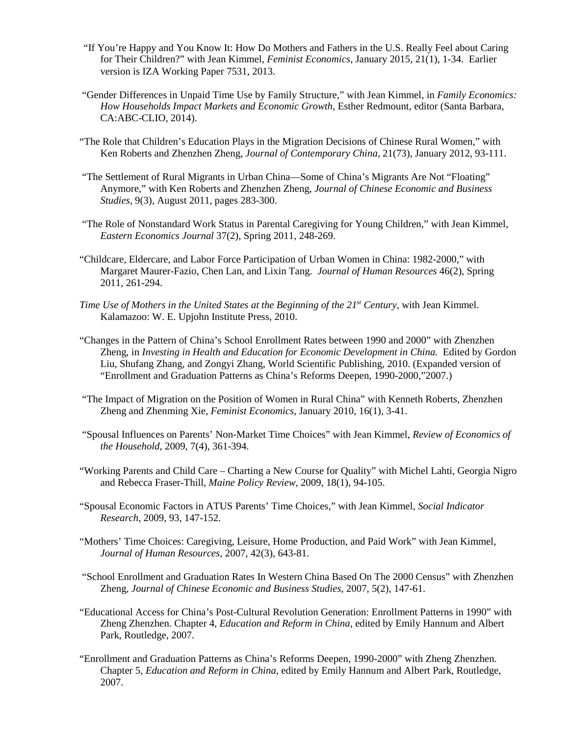- "If You're Happy and You Know It: How Do Mothers and Fathers in the U.S. Really Feel about Caring for Their Children?" with Jean Kimmel, *Feminist Economics*, January 2015, 21(1), 1-34. Earlier version is IZA Working Paper 7531, 2013.
- "Gender Differences in Unpaid Time Use by Family Structure," with Jean Kimmel, in *Family Economics: How Households Impact Markets and Economic Growth*, Esther Redmount, editor (Santa Barbara, CA:ABC-CLIO, 2014).
- "The Role that Children's Education Plays in the Migration Decisions of Chinese Rural Women," with Ken Roberts and Zhenzhen Zheng, *Journal of Contemporary China*, 21(73), January 2012, 93-111.
- "The Settlement of Rural Migrants in Urban China—Some of China's Migrants Are Not "Floating" Anymore," with Ken Roberts and Zhenzhen Zheng, *Journal of Chinese Economic and Business Studies,* 9(3), August 2011, pages 283-300.
- "The Role of Nonstandard Work Status in Parental Caregiving for Young Children," with Jean Kimmel, *Eastern Economics Journal* 37(2), Spring 2011, 248-269.
- "Childcare, Eldercare, and Labor Force Participation of Urban Women in China: 1982-2000," with Margaret Maurer-Fazio, Chen Lan, and Lixin Tang. *Journal of Human Resources* 46(2), Spring 2011, 261-294.
- *Time Use of Mothers in the United States at the Beginning of the 21st Century*, with Jean Kimmel. Kalamazoo: W. E. Upjohn Institute Press, 2010.
- "Changes in the Pattern of China's School Enrollment Rates between 1990 and 2000" with Zhenzhen Zheng, in *Investing in Health and Education for Economic Development in China.* Edited by Gordon Liu, Shufang Zhang, and Zongyi Zhang, World Scientific Publishing, 2010. (Expanded version of "Enrollment and Graduation Patterns as China's Reforms Deepen, 1990-2000,"2007.)
- "The Impact of Migration on the Position of Women in Rural China" with Kenneth Roberts, Zhenzhen Zheng and Zhenming Xie, *Feminist Economics,* January 2010, 16(1), 3-41.
- "Spousal Influences on Parents' Non-Market Time Choices" with Jean Kimmel, *Review of Economics of the Household*, 2009, 7(4), 361-394.
- "Working Parents and Child Care Charting a New Course for Quality" with Michel Lahti, Georgia Nigro and Rebecca Fraser-Thill, *Maine Policy Review*, 2009, 18(1), 94-105.
- "Spousal Economic Factors in ATUS Parents' Time Choices," with Jean Kimmel, *Social Indicator Research*, 2009, 93, 147-152.
- "Mothers' Time Choices: Caregiving, Leisure, Home Production, and Paid Work" with Jean Kimmel, *Journal of Human Resources*, 2007, 42(3), 643-81.
- "School Enrollment and Graduation Rates In Western China Based On The 2000 Census" with Zhenzhen Zheng, *Journal of Chinese Economic and Business Studies*, 2007, 5(2), 147-61.
- "Educational Access for China's Post-Cultural Revolution Generation: Enrollment Patterns in 1990" with Zheng Zhenzhen. Chapter 4, *Education and Reform in China*, edited by Emily Hannum and Albert Park, Routledge, 2007.
- "Enrollment and Graduation Patterns as China's Reforms Deepen, 1990-2000" with Zheng Zhenzhen. Chapter 5, *Education and Reform in China*, edited by Emily Hannum and Albert Park, Routledge, 2007.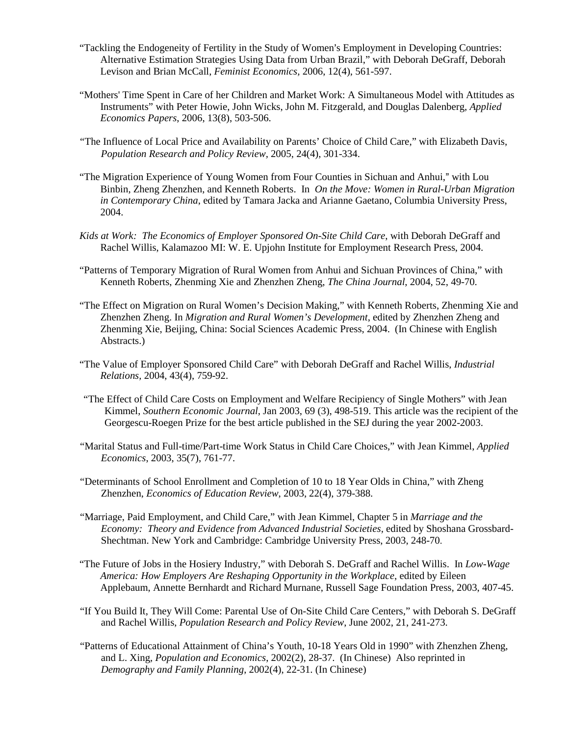- "Tackling the Endogeneity of Fertility in the Study of Women's Employment in Developing Countries: Alternative Estimation Strategies Using Data from Urban Brazil," with Deborah DeGraff, Deborah Levison and Brian McCall, *Feminist Economics,* 2006, 12(4), 561-597.
- "Mothers' Time Spent in Care of her Children and Market Work: A Simultaneous Model with Attitudes as Instruments" with Peter Howie, John Wicks, John M. Fitzgerald, and Douglas Dalenberg, *Applied Economics Papers*, 2006, 13(8), 503-506.
- "The Influence of Local Price and Availability on Parents' Choice of Child Care," with Elizabeth Davis, *Population Research and Policy Review,* 2005, 24(4), 301-334.
- "The Migration Experience of Young Women from Four Counties in Sichuan and Anhui," with Lou Binbin, Zheng Zhenzhen, and Kenneth Roberts. In *On the Move: Women in Rural-Urban Migration in Contemporary China*, edited by Tamara Jacka and Arianne Gaetano, Columbia University Press, 2004.
- *Kids at Work: The Economics of Employer Sponsored On-Site Child Care*, with Deborah DeGraff and Rachel Willis, Kalamazoo MI: W. E. Upjohn Institute for Employment Research Press, 2004.
- "Patterns of Temporary Migration of Rural Women from Anhui and Sichuan Provinces of China," with Kenneth Roberts, Zhenming Xie and Zhenzhen Zheng, *The China Journal*, 2004, 52, 49-70.
- "The Effect on Migration on Rural Women's Decision Making," with Kenneth Roberts, Zhenming Xie and Zhenzhen Zheng. In *Migration and Rural Women's Development*, edited by Zhenzhen Zheng and Zhenming Xie, Beijing, China: Social Sciences Academic Press, 2004. (In Chinese with English Abstracts.)
- "The Value of Employer Sponsored Child Care" with Deborah DeGraff and Rachel Willis, *Industrial Relations,* 2004, 43(4), 759-92.
- "The Effect of Child Care Costs on Employment and Welfare Recipiency of Single Mothers" with Jean Kimmel, *Southern Economic Journal*, Jan 2003, 69 (3), 498-519. This article was the recipient of the Georgescu-Roegen Prize for the best article published in the SEJ during the year 2002-2003.
- "Marital Status and Full-time/Part-time Work Status in Child Care Choices," with Jean Kimmel, *Applied Economics*, 2003, 35(7), 761-77.
- "Determinants of School Enrollment and Completion of 10 to 18 Year Olds in China," with Zheng Zhenzhen, *Economics of Education Review*, 2003, 22(4), 379-388.
- "Marriage, Paid Employment, and Child Care," with Jean Kimmel, Chapter 5 in *Marriage and the Economy: Theory and Evidence from Advanced Industrial Societies,* edited by Shoshana Grossbard-Shechtman. New York and Cambridge: Cambridge University Press, 2003, 248-70.
- "The Future of Jobs in the Hosiery Industry," with Deborah S. DeGraff and Rachel Willis. In *Low-Wage America: How Employers Are Reshaping Opportunity in the Workplace*, edited by Eileen Applebaum, Annette Bernhardt and Richard Murnane, Russell Sage Foundation Press, 2003, 407-45.
- "If You Build It, They Will Come: Parental Use of On-Site Child Care Centers," with Deborah S. DeGraff and Rachel Willis, *Population Research and Policy Review*, June 2002, 21, 241-273.
- "Patterns of Educational Attainment of China's Youth, 10-18 Years Old in 1990" with Zhenzhen Zheng, and L. Xing, *Population and Economics*, 2002(2), 28-37. (In Chinese) Also reprinted in *Demography and Family Planning*, 2002(4), 22-31. (In Chinese)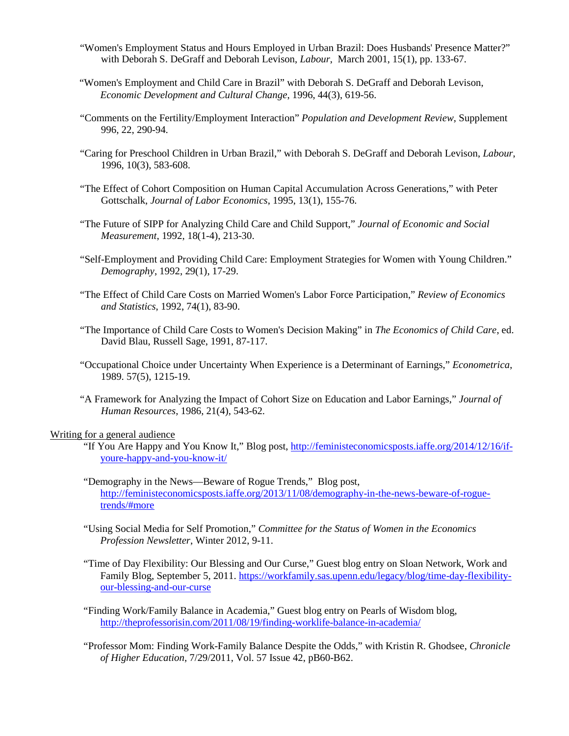- "Women's Employment Status and Hours Employed in Urban Brazil: Does Husbands' Presence Matter?" with Deborah S. DeGraff and Deborah Levison, *Labour*, March 2001, 15(1), pp. 133-67.
- "Women's Employment and Child Care in Brazil" with Deborah S. DeGraff and Deborah Levison, *Economic Development and Cultural Change*, 1996, 44(3), 619-56.
- "Comments on the Fertility/Employment Interaction" *Population and Development Review*, Supplement 996, 22, 290-94.
- "Caring for Preschool Children in Urban Brazil," with Deborah S. DeGraff and Deborah Levison, *Labour*, 1996, 10(3), 583-608.
- "The Effect of Cohort Composition on Human Capital Accumulation Across Generations," with Peter Gottschalk, *Journal of Labor Economics*, 1995, 13(1), 155-76.
- "The Future of SIPP for Analyzing Child Care and Child Support," *Journal of Economic and Social Measurement*, 1992, 18(1-4), 213-30.
- "Self-Employment and Providing Child Care: Employment Strategies for Women with Young Children." *Demography*, 1992, 29(1), 17-29.
- "The Effect of Child Care Costs on Married Women's Labor Force Participation," *Review of Economics and Statistics*, 1992, 74(1), 83-90.
- "The Importance of Child Care Costs to Women's Decision Making" in *The Economics of Child Care*, ed. David Blau, Russell Sage, 1991, 87-117.
- "Occupational Choice under Uncertainty When Experience is a Determinant of Earnings," *Econometrica*, 1989. 57(5), 1215-19.
- "A Framework for Analyzing the Impact of Cohort Size on Education and Labor Earnings," *Journal of Human Resources*, 1986, 21(4), 543-62.

# Writing for a general audience

- "If You Are Happy and You Know It," Blog post, http://feministeconomicsposts.iaffe.org/2014/12/16/ifyoure-happy-and-you-know-it/
- "Demography in the News—Beware of Rogue Trends," Blog post, http://feministeconomicsposts.iaffe.org/2013/11/08/demography-in-the-news-beware-of-roguetrends/#more
- "Using Social Media for Self Promotion," *Committee for the Status of Women in the Economics Profession Newsletter*, Winter 2012, 9-11.
- "Time of Day Flexibility: Our Blessing and Our Curse," Guest blog entry on Sloan Network, Work and Family Blog, September 5, 2011. https://workfamily.sas.upenn.edu/legacy/blog/time-day-flexibilityour-blessing-and-our-curse
- "Finding Work/Family Balance in Academia," Guest blog entry on Pearls of Wisdom blog, http://theprofessorisin.com/2011/08/19/finding-worklife-balance-in-academia/
- "Professor Mom: Finding Work-Family Balance Despite the Odds," with Kristin R. Ghodsee, *Chronicle of Higher Education*, 7/29/2011, Vol. 57 Issue 42, pB60-B62.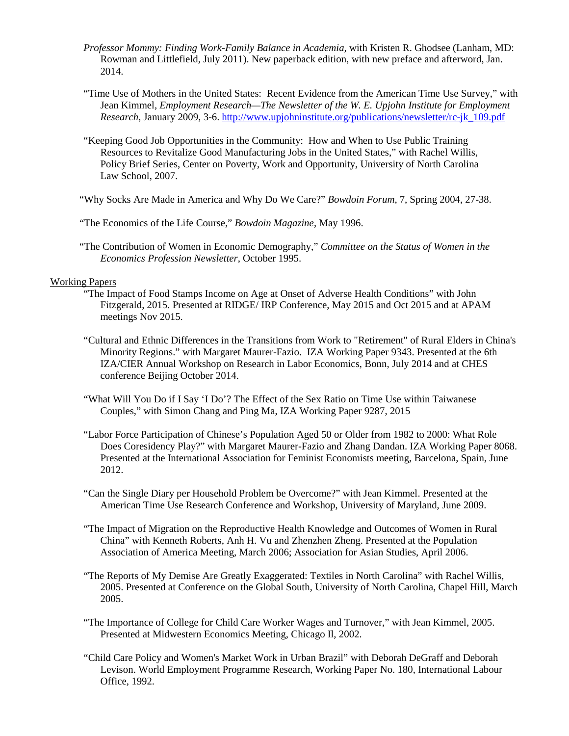- *Professor Mommy: Finding Work-Family Balance in Academia,* with Kristen R. Ghodsee (Lanham, MD: Rowman and Littlefield, July 2011). New paperback edition, with new preface and afterword, Jan. 2014.
- "Time Use of Mothers in the United States: Recent Evidence from the American Time Use Survey," with Jean Kimmel, *Employment Research—The Newsletter of the W. E. Upjohn Institute for Employment Research*, January 2009, 3-6. http://www.upjohninstitute.org/publications/newsletter/rc-jk\_109.pdf
- "Keeping Good Job Opportunities in the Community: How and When to Use Public Training Resources to Revitalize Good Manufacturing Jobs in the United States," with Rachel Willis, Policy Brief Series, Center on Poverty, Work and Opportunity, University of North Carolina Law School, 2007.

"Why Socks Are Made in America and Why Do We Care?" *Bowdoin Forum*, 7, Spring 2004, 27-38.

"The Economics of the Life Course," *Bowdoin Magazine*, May 1996.

"The Contribution of Women in Economic Demography," *Committee on the Status of Women in the Economics Profession Newsletter*, October 1995.

# Working Papers

- "The Impact of Food Stamps Income on Age at Onset of Adverse Health Conditions" with John Fitzgerald, 2015. Presented at RIDGE/ IRP Conference, May 2015 and Oct 2015 and at APAM meetings Nov 2015.
- "Cultural and Ethnic Differences in the Transitions from Work to "Retirement" of Rural Elders in China's Minority Regions." with Margaret Maurer-Fazio. IZA Working Paper 9343. Presented at the 6th IZA/CIER Annual Workshop on Research in Labor Economics, Bonn, July 2014 and at CHES conference Beijing October 2014.
- "What Will You Do if I Say 'I Do'? The Effect of the Sex Ratio on Time Use within Taiwanese Couples," with Simon Chang and Ping Ma, IZA Working Paper 9287, 2015
- "Labor Force Participation of Chinese's Population Aged 50 or Older from 1982 to 2000: What Role Does Coresidency Play?" with Margaret Maurer-Fazio and Zhang Dandan. IZA Working Paper 8068. Presented at the International Association for Feminist Economists meeting, Barcelona, Spain, June 2012.
- "Can the Single Diary per Household Problem be Overcome?" with Jean Kimmel. Presented at the American Time Use Research Conference and Workshop, University of Maryland, June 2009.
- "The Impact of Migration on the Reproductive Health Knowledge and Outcomes of Women in Rural China" with Kenneth Roberts, Anh H. Vu and Zhenzhen Zheng. Presented at the Population Association of America Meeting, March 2006; Association for Asian Studies, April 2006.
- "The Reports of My Demise Are Greatly Exaggerated: Textiles in North Carolina" with Rachel Willis, 2005. Presented at Conference on the Global South, University of North Carolina, Chapel Hill, March 2005.
- "The Importance of College for Child Care Worker Wages and Turnover," with Jean Kimmel, 2005. Presented at Midwestern Economics Meeting, Chicago Il, 2002.
- "Child Care Policy and Women's Market Work in Urban Brazil" with Deborah DeGraff and Deborah Levison. World Employment Programme Research, Working Paper No. 180, International Labour Office, 1992.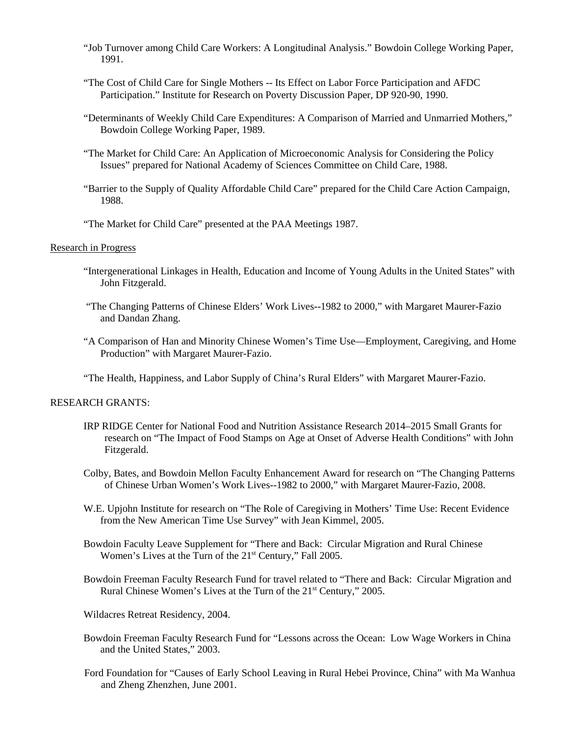- "Job Turnover among Child Care Workers: A Longitudinal Analysis." Bowdoin College Working Paper, 1991.
- "The Cost of Child Care for Single Mothers -- Its Effect on Labor Force Participation and AFDC Participation." Institute for Research on Poverty Discussion Paper, DP 920-90, 1990.
- "Determinants of Weekly Child Care Expenditures: A Comparison of Married and Unmarried Mothers," Bowdoin College Working Paper, 1989.
- "The Market for Child Care: An Application of Microeconomic Analysis for Considering the Policy Issues" prepared for National Academy of Sciences Committee on Child Care, 1988.
- "Barrier to the Supply of Quality Affordable Child Care" prepared for the Child Care Action Campaign, 1988.
- "The Market for Child Care" presented at the PAA Meetings 1987.

### Research in Progress

- "Intergenerational Linkages in Health, Education and Income of Young Adults in the United States" with John Fitzgerald.
- "The Changing Patterns of Chinese Elders' Work Lives--1982 to 2000," with Margaret Maurer-Fazio and Dandan Zhang.
- "A Comparison of Han and Minority Chinese Women's Time Use—Employment, Caregiving, and Home Production" with Margaret Maurer-Fazio.

"The Health, Happiness, and Labor Supply of China's Rural Elders" with Margaret Maurer-Fazio.

#### RESEARCH GRANTS:

- IRP RIDGE Center for National Food and Nutrition Assistance Research 2014–2015 Small Grants for research on "The Impact of Food Stamps on Age at Onset of Adverse Health Conditions" with John Fitzgerald.
- Colby, Bates, and Bowdoin Mellon Faculty Enhancement Award for research on "The Changing Patterns of Chinese Urban Women's Work Lives--1982 to 2000," with Margaret Maurer-Fazio, 2008.
- W.E. Upjohn Institute for research on "The Role of Caregiving in Mothers' Time Use: Recent Evidence from the New American Time Use Survey" with Jean Kimmel, 2005.
- Bowdoin Faculty Leave Supplement for "There and Back: Circular Migration and Rural Chinese Women's Lives at the Turn of the 21<sup>st</sup> Century," Fall 2005.
- Bowdoin Freeman Faculty Research Fund for travel related to "There and Back: Circular Migration and Rural Chinese Women's Lives at the Turn of the 21<sup>st</sup> Century," 2005.
- Wildacres Retreat Residency, 2004.
- Bowdoin Freeman Faculty Research Fund for "Lessons across the Ocean: Low Wage Workers in China and the United States," 2003.
- Ford Foundation for "Causes of Early School Leaving in Rural Hebei Province, China" with Ma Wanhua and Zheng Zhenzhen, June 2001.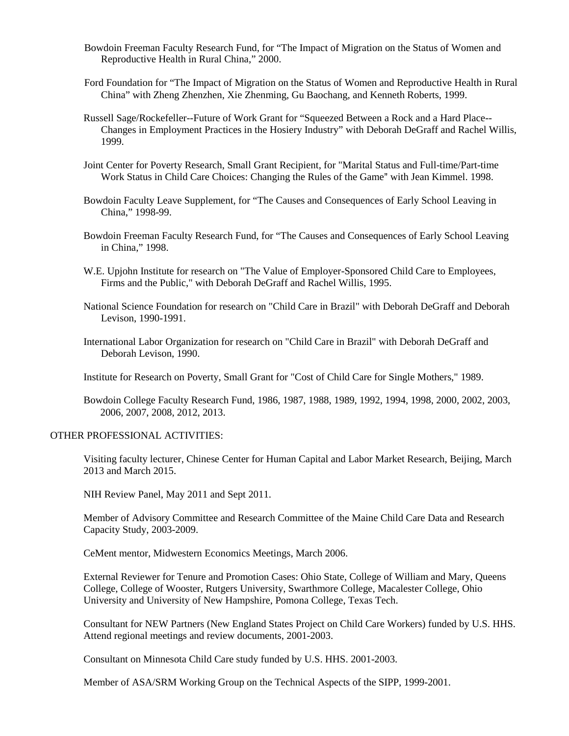- Bowdoin Freeman Faculty Research Fund, for "The Impact of Migration on the Status of Women and Reproductive Health in Rural China," 2000.
- Ford Foundation for "The Impact of Migration on the Status of Women and Reproductive Health in Rural China" with Zheng Zhenzhen, Xie Zhenming, Gu Baochang, and Kenneth Roberts, 1999.
- Russell Sage/Rockefeller--Future of Work Grant for "Squeezed Between a Rock and a Hard Place-- Changes in Employment Practices in the Hosiery Industry" with Deborah DeGraff and Rachel Willis, 1999.
- Joint Center for Poverty Research, Small Grant Recipient, for "Marital Status and Full-time/Part-time Work Status in Child Care Choices: Changing the Rules of the Game" with Jean Kimmel. 1998.
- Bowdoin Faculty Leave Supplement, for "The Causes and Consequences of Early School Leaving in China," 1998-99.
- Bowdoin Freeman Faculty Research Fund, for "The Causes and Consequences of Early School Leaving in China," 1998.
- W.E. Upjohn Institute for research on "The Value of Employer-Sponsored Child Care to Employees, Firms and the Public," with Deborah DeGraff and Rachel Willis, 1995.
- National Science Foundation for research on "Child Care in Brazil" with Deborah DeGraff and Deborah Levison, 1990-1991.
- International Labor Organization for research on "Child Care in Brazil" with Deborah DeGraff and Deborah Levison, 1990.
- Institute for Research on Poverty, Small Grant for "Cost of Child Care for Single Mothers," 1989.
- Bowdoin College Faculty Research Fund, 1986, 1987, 1988, 1989, 1992, 1994, 1998, 2000, 2002, 2003, 2006, 2007, 2008, 2012, 2013.

### OTHER PROFESSIONAL ACTIVITIES:

Visiting faculty lecturer, Chinese Center for Human Capital and Labor Market Research, Beijing, March 2013 and March 2015.

NIH Review Panel, May 2011 and Sept 2011.

Member of Advisory Committee and Research Committee of the Maine Child Care Data and Research Capacity Study, 2003-2009.

CeMent mentor, Midwestern Economics Meetings, March 2006.

External Reviewer for Tenure and Promotion Cases: Ohio State, College of William and Mary, Queens College, College of Wooster, Rutgers University, Swarthmore College, Macalester College, Ohio University and University of New Hampshire, Pomona College, Texas Tech.

Consultant for NEW Partners (New England States Project on Child Care Workers) funded by U.S. HHS. Attend regional meetings and review documents, 2001-2003.

Consultant on Minnesota Child Care study funded by U.S. HHS. 2001-2003.

Member of ASA/SRM Working Group on the Technical Aspects of the SIPP, 1999-2001.